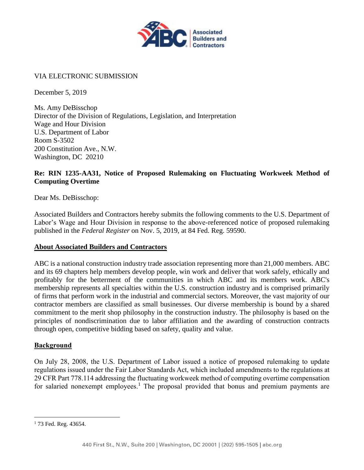

### VIA ELECTRONIC SUBMISSION

December 5, 2019

Ms. Amy DeBisschop Director of the Division of Regulations, Legislation, and Interpretation Wage and Hour Division U.S. Department of Labor Room S-3502 200 Constitution Ave., N.W. Washington, DC 20210

## **Re: RIN 1235-AA31, Notice of Proposed Rulemaking on Fluctuating Workweek Method of Computing Overtime**

Dear Ms. DeBisschop:

Associated Builders and Contractors hereby submits the following comments to the U.S. Department of Labor's Wage and Hour Division in response to the above-referenced notice of proposed rulemaking published in the *Federal Register* on Nov. 5, 2019, at 84 Fed. Reg. 59590.

#### **About Associated Builders and Contractors**

ABC is a national construction industry trade association representing more than 21,000 members. ABC and its 69 chapters help members develop people, win work and deliver that work safely, ethically and profitably for the betterment of the communities in which ABC and its members work. ABC's membership represents all specialties within the U.S. construction industry and is comprised primarily of firms that perform work in the industrial and commercial sectors. Moreover, the vast majority of our contractor members are classified as small businesses. Our diverse membership is bound by a shared commitment to the merit shop philosophy in the construction industry. The philosophy is based on the principles of nondiscrimination due to labor affiliation and the awarding of construction contracts through open, competitive bidding based on safety, quality and value.

#### **Background**

On July 28, 2008, the U.S. Department of Labor issued a notice of proposed rulemaking to update regulations issued under the Fair Labor Standards Act, which included amendments to the regulations at 29 CFR Part 778.114 addressing the fluctuating workweek method of computing overtime compensation for salaried nonexempt employees.<sup>1</sup> The proposal provided that bonus and premium payments are

 $\overline{a}$ 

<sup>&</sup>lt;sup>1</sup> 73 Fed. Reg. 43654.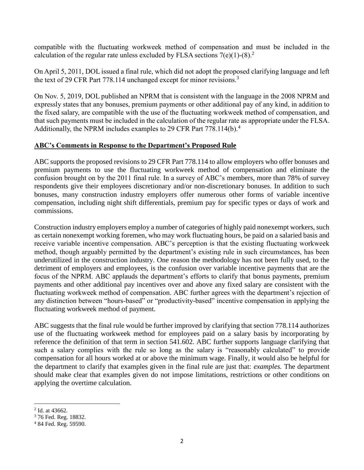compatible with the fluctuating workweek method of compensation and must be included in the calculation of the regular rate unless excluded by FLSA sections  $7(e)(1)-(8)^2$ .

On April 5, 2011, DOL issued a final rule, which did not adopt the proposed clarifying language and left the text of 29 CFR Part 778.114 unchanged except for minor revisions.<sup>3</sup>

On Nov. 5, 2019, DOL published an NPRM that is consistent with the language in the 2008 NPRM and expressly states that any bonuses, premium payments or other additional pay of any kind, in addition to the fixed salary, are compatible with the use of the fluctuating workweek method of compensation, and that such payments must be included in the calculation of the regular rate as appropriate under the FLSA. Additionally, the NPRM includes examples to 29 CFR Part 778.114(b).<sup>4</sup>

## **ABC's Comments in Response to the Department's Proposed Rule**

ABC supports the proposed revisions to 29 CFR Part 778.114 to allow employers who offer bonuses and premium payments to use the fluctuating workweek method of compensation and eliminate the confusion brought on by the 2011 final rule. In a survey of ABC's members, more than 78% of survey respondents give their employees discretionary and/or non-discretionary bonuses. In addition to such bonuses, many construction industry employers offer numerous other forms of variable incentive compensation, including night shift differentials, premium pay for specific types or days of work and commissions.

Construction industry employers employ a number of categories of highly paid nonexempt workers, such as certain nonexempt working foremen, who may work fluctuating hours, be paid on a salaried basis and receive variable incentive compensation. ABC's perception is that the existing fluctuating workweek method, though arguably permitted by the department's existing rule in such circumstances, has been underutilized in the construction industry. One reason the methodology has not been fully used, to the detriment of employers and employees, is the confusion over variable incentive payments that are the focus of the NPRM. ABC applauds the department's efforts to clarify that bonus payments, premium payments and other additional pay incentives over and above any fixed salary are consistent with the fluctuating workweek method of compensation. ABC further agrees with the department's rejection of any distinction between "hours-based" or "productivity-based" incentive compensation in applying the fluctuating workweek method of payment.

ABC suggests that the final rule would be further improved by clarifying that section 778.114 authorizes use of the fluctuating workweek method for employees paid on a salary basis by incorporating by reference the definition of that term in section 541.602. ABC further supports language clarifying that such a salary complies with the rule so long as the salary is "reasonably calculated" to provide compensation for all hours worked at or above the minimum wage. Finally, it would also be helpful for the department to clarify that examples given in the final rule are just that: *examples.* The department should make clear that examples given do not impose limitations, restrictions or other conditions on applying the overtime calculation.

 $\overline{a}$ 2 Id. at 43662.

<sup>3</sup> 76 Fed. Reg. 18832.

<sup>4</sup> 84 Fed. Reg. 59590.